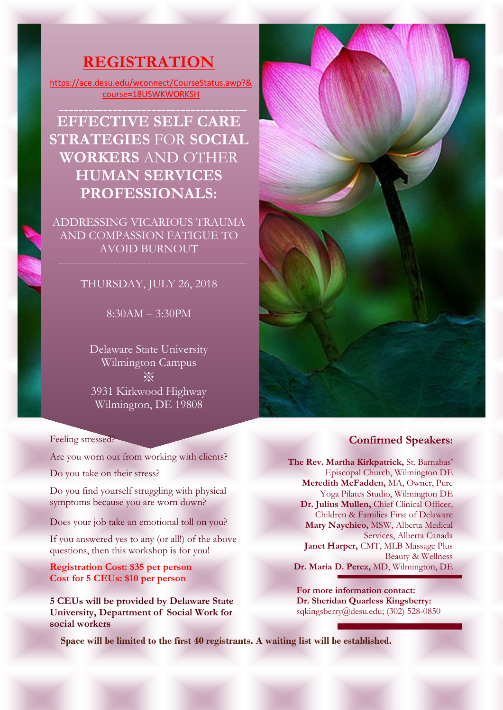# **REGISTRATION**

[https://ace.desu.edu/wconnect/CourseStatus.awp?&](https://ace.desu.edu/wconnect/CourseStatus.awp?&course=18USWKWORKSH) [course=18USWKWORKSH](https://ace.desu.edu/wconnect/CourseStatus.awp?&course=18USWKWORKSH)

**EFFECTIVE SELF CARE STRATEGIES** FOR **SOCIAL WORKERS** AND OTHER **HUMAN SERVICES PROFESSIONALS:**

ADDRESSING VICARIOUS TRAUMA AND COMPASSION FATIGUE TO AVOID BURNOUT

## THURSDAY, JULY 26, 2018

8:30AM – 3:30PM

Delaware State University Wilmington Campus ※ 3931 Kirkwood Highway Wilmington, DE 19808

Feeling stressed?

Are you worn out from working with clients?

Do you take on their stress?

Do you find yourself struggling with physical symptoms because you are worn down?

Does your job take an emotional toll on you?

If you answered yes to any (or all!) of the above questions, then this workshop is for you!

**Registration Cost: \$35 per person Cost for 5 CEUs: \$10 per person**

**5 CEUs will be provided by Delaware State University, Department of Social Work for social workers**

**Space will be limited to the first 40 registrants. A waiting list will be established.**



#### **Confirmed Speakers:**

**The Rev. Martha Kirkpatrick,** St. Barnabas' Episcopal Church, Wilmington DE **Meredith McFadden,** MA, Owner, Pure Yoga Pilates Studio, Wilmington DE **Dr. Julius Mullen,** Chief Clinical Officer, Children & Families First of Delaware **Mary Naychieo,** MSW, Alberta Medical Services, Alberta Canada **Janet Harper,** CMT, MLB Massage Plus Beauty & Wellness **Dr. Maria D. Perez,** MD, Wilmington, DE

**For more information contact: Dr. Sheridan Quarless Kingsberry:** sqkingsberry@desu.edu; (302) 528-0850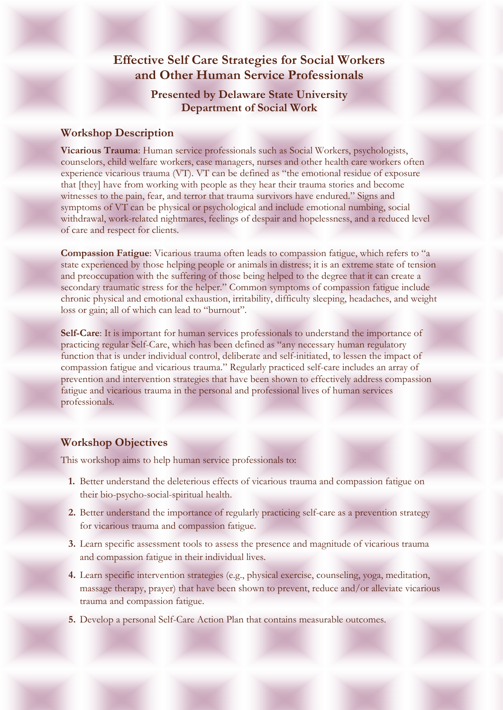## **Effective Self Care Strategies for Social Workers and Other Human Service Professionals**

## **Presented by Delaware State University Department of Social Work**

### **Workshop Description**

**Vicarious Trauma**: Human service professionals such as Social Workers, psychologists, counselors, child welfare workers, case managers, nurses and other health care workers often experience vicarious trauma (VT). VT can be defined as "the emotional residue of exposure that [they] have from working with people as they hear their trauma stories and become witnesses to the pain, fear, and terror that trauma survivors have endured." Signs and symptoms of VT can be physical or psychological and include emotional numbing, social withdrawal, work-related nightmares, feelings of despair and hopelessness, and a reduced level of care and respect for clients.

**Compassion Fatigue**: Vicarious trauma often leads to compassion fatigue, which refers to "a state experienced by those helping people or animals in distress; it is an extreme state of tension and preoccupation with the suffering of those being helped to the degree that it can create a secondary traumatic stress for the helper." Common symptoms of compassion fatigue include chronic physical and emotional exhaustion, irritability, difficulty sleeping, headaches, and weight loss or gain; all of which can lead to "burnout".

**Self-Care**: It is important for human services professionals to understand the importance of practicing regular Self-Care, which has been defined as "any necessary human regulatory function that is under individual control, deliberate and self-initiated, to lessen the impact of compassion fatigue and vicarious trauma." Regularly practiced self-care includes an array of prevention and intervention strategies that have been shown to effectively address compassion fatigue and vicarious trauma in the personal and professional lives of human services professionals.

## **Workshop Objectives**

This workshop aims to help human service professionals to:

- **1.** Better understand the deleterious effects of vicarious trauma and compassion fatigue on their bio-psycho-social-spiritual health.
- **2.** Better understand the importance of regularly practicing self-care as a prevention strategy for vicarious trauma and compassion fatigue.
- **3.** Learn specific assessment tools to assess the presence and magnitude of vicarious trauma and compassion fatigue in their individual lives.
- **4.** Learn specific intervention strategies (e.g., physical exercise, counseling, yoga, meditation, massage therapy, prayer) that have been shown to prevent, reduce and/or alleviate vicarious trauma and compassion fatigue.
- **5.** Develop a personal Self-Care Action Plan that contains measurable outcomes.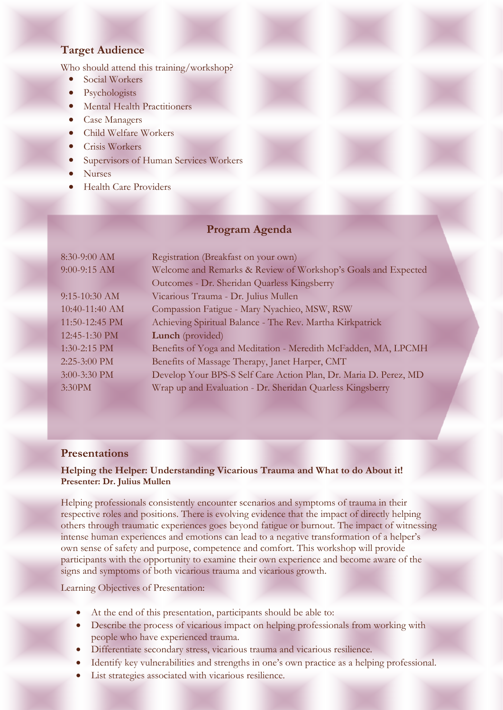## **Target Audience**

Who should attend this training/workshop?

- Social Workers
- Psychologists
- Mental Health Practitioners
- Case Managers
- Child Welfare Workers
- Crisis Workers
- **Supervisors of Human Services Workers**
- Nurses
- **Health Care Providers**

#### **Program Agenda**

| 8:30-9:00 AM    | Registration (Breakfast on your own)                             |
|-----------------|------------------------------------------------------------------|
| 9:00-9:15 AM    | Welcome and Remarks & Review of Workshop's Goals and Expected    |
|                 | Outcomes - Dr. Sheridan Quarless Kingsberry                      |
| $9:15-10:30$ AM | Vicarious Trauma - Dr. Julius Mullen                             |
| 10:40-11:40 AM  | Compassion Fatigue - Mary Nyachieo, MSW, RSW                     |
| 11:50-12:45 PM  | Achieving Spiritual Balance - The Rev. Martha Kirkpatrick        |
| 12:45-1:30 PM   | <b>Lunch</b> (provided)                                          |
| 1:30-2:15 PM    | Benefits of Yoga and Meditation - Meredith McFadden, MA, LPCMH   |
| $2:25-3:00$ PM  | Benefits of Massage Therapy, Janet Harper, CMT                   |
| 3:00-3:30 PM    | Develop Your BPS-S Self Care Action Plan, Dr. Maria D. Perez, MD |
| 3:30PM          | Wrap up and Evaluation - Dr. Sheridan Quarless Kingsberry        |

#### **Presentations**

#### **Helping the Helper: Understanding Vicarious Trauma and What to do About it! Presenter: Dr. Julius Mullen**

Helping professionals consistently encounter scenarios and symptoms of trauma in their respective roles and positions. There is evolving evidence that the impact of directly helping others through traumatic experiences goes beyond fatigue or burnout. The impact of witnessing intense human experiences and emotions can lead to a negative transformation of a helper's own sense of safety and purpose, competence and comfort. This workshop will provide participants with the opportunity to examine their own experience and become aware of the signs and symptoms of both vicarious trauma and vicarious growth.

Learning Objectives of Presentation:

- At the end of this presentation, participants should be able to:
- Describe the process of vicarious impact on helping professionals from working with people who have experienced trauma.
- Differentiate secondary stress, vicarious trauma and vicarious resilience*.*
- Identify key vulnerabilities and strengths in one's own practice as a helping professional.
- List strategies associated with vicarious resilience.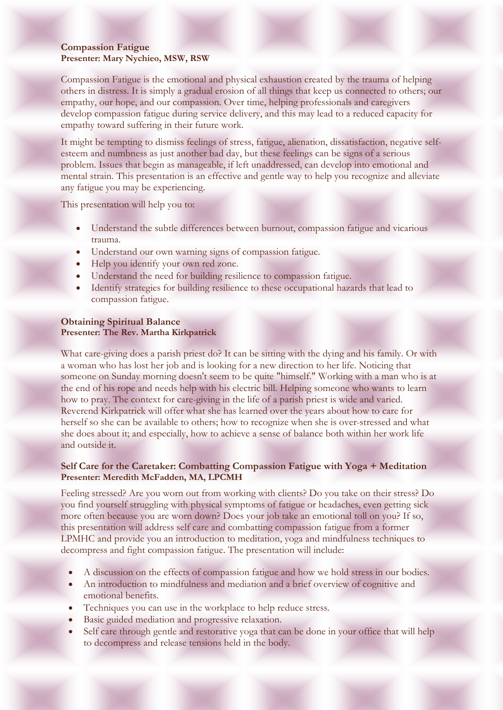#### **Compassion Fatigue Presenter: Mary Nychieo, MSW, RSW**

Compassion Fatigue is the emotional and physical exhaustion created by the trauma of helping others in distress. It is simply a gradual erosion of all things that keep us connected to others; our empathy, our hope, and our compassion. Over time, helping professionals and caregivers develop compassion fatigue during service delivery, and this may lead to a reduced capacity for empathy toward suffering in their future work.

It might be tempting to dismiss feelings of stress, fatigue, alienation, dissatisfaction, negative selfesteem and numbness as just another bad day, but these feelings can be signs of a serious problem. Issues that begin as manageable, if left unaddressed, can develop into emotional and mental strain. This presentation is an effective and gentle way to help you recognize and alleviate any fatigue you may be experiencing.

This presentation will help you to:

- Understand the subtle differences between burnout, compassion fatigue and vicarious trauma.
- Understand our own warning signs of compassion fatigue.
- Help you identify your own red zone.
- Understand the need for building resilience to compassion fatigue.
- Identify strategies for building resilience to these occupational hazards that lead to compassion fatigue.

#### **Obtaining Spiritual Balance Presenter: The Rev. Martha Kirkpatrick**

What care-giving does a parish priest do? It can be sitting with the dying and his family. Or with a woman who has lost her job and is looking for a new direction to her life. Noticing that someone on Sunday morning doesn't seem to be quite "himself." Working with a man who is at the end of his rope and needs help with his electric bill. Helping someone who wants to learn how to pray. The context for care-giving in the life of a parish priest is wide and varied. Reverend Kirkpatrick will offer what she has learned over the years about how to care for herself so she can be available to others; how to recognize when she is over-stressed and what she does about it; and especially, how to achieve a sense of balance both within her work life and outside it.

#### **Self Care for the Caretaker: Combatting Compassion Fatigue with Yoga + Meditation Presenter: Meredith McFadden, MA, LPCMH**

Feeling stressed? Are you worn out from working with clients? Do you take on their stress? Do you find yourself struggling with physical symptoms of fatigue or headaches, even getting sick more often because you are worn down? Does your job take an emotional toll on you? If so, this presentation will address self care and combatting compassion fatigue from a former LPMHC and provide you an introduction to meditation, yoga and mindfulness techniques to decompress and fight compassion fatigue. The presentation will include:

- A discussion on the effects of compassion fatigue and how we hold stress in our bodies.
- An introduction to mindfulness and mediation and a brief overview of cognitive and emotional benefits.
- Techniques you can use in the workplace to help reduce stress.
- Basic guided mediation and progressive relaxation.
- Self care through gentle and restorative yoga that can be done in your office that will help to decompress and release tensions held in the body.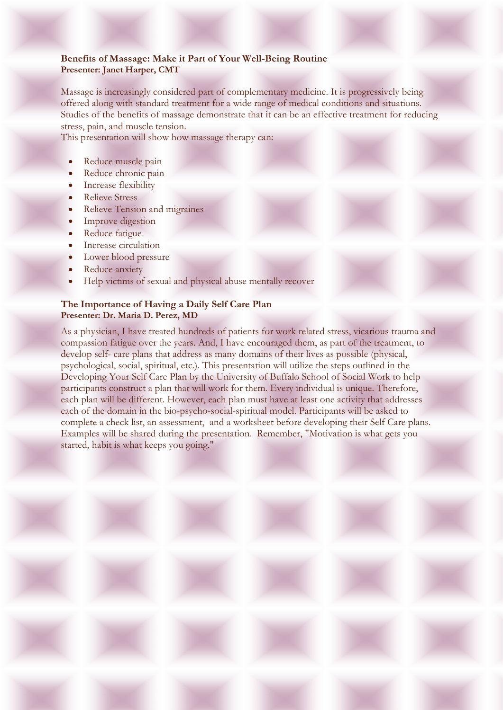#### **Benefits of Massage: Make it Part of Your Well-Being Routine Presenter: Janet Harper, CMT**

Massage is increasingly considered part of complementary medicine. It is progressively being offered along with standard treatment for a wide range of medical conditions and situations. Studies of the benefits of massage demonstrate that it can be an effective treatment for reducing stress, pain, and muscle tension.

This presentation will show how massage therapy can:

- Reduce muscle pain
- Reduce chronic pain
- Increase flexibility
- Relieve Stress
- Relieve Tension and migraines
- Improve digestion
- Reduce fatigue
- Increase circulation
- Lower blood pressure
- Reduce anxiety
- Help victims of sexual and physical abuse mentally recover

#### **The Importance of Having a Daily Self Care Plan Presenter: Dr. Maria D. Perez, MD**

As a physician, I have treated hundreds of patients for work related stress, vicarious trauma and compassion fatigue over the years. And, I have encouraged them, as part of the treatment, to develop self- care plans that address as many domains of their lives as possible (physical, psychological, social, spiritual, etc.). This presentation will utilize the steps outlined in the Developing Your Self Care Plan by the University of Buffalo School of Social Work to help participants construct a plan that will work for them. Every individual is unique. Therefore, each plan will be different. However, each plan must have at least one activity that addresses each of the domain in the bio-psycho-social-spiritual model. Participants will be asked to complete a check list, an assessment, and a worksheet before developing their Self Care plans. Examples will be shared during the presentation. Remember, "Motivation is what gets you started, habit is what keeps you going."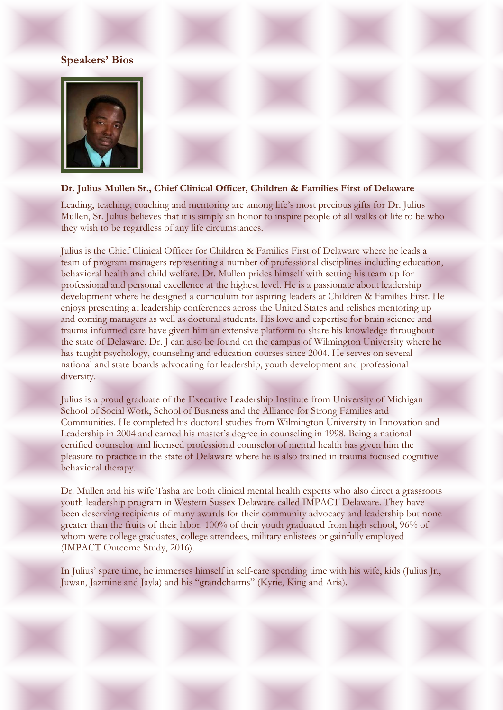## **Speakers' Bios**



#### **Dr. Julius Mullen Sr., Chief Clinical Officer, Children & Families First of Delaware**

Leading, teaching, coaching and mentoring are among life's most precious gifts for Dr. Julius Mullen, Sr. Julius believes that it is simply an honor to inspire people of all walks of life to be who they wish to be regardless of any life circumstances.

Julius is the Chief Clinical Officer for Children & Families First of Delaware where he leads a team of program managers representing a number of professional disciplines including education, behavioral health and child welfare. Dr. Mullen prides himself with setting his team up for professional and personal excellence at the highest level. He is a passionate about leadership development where he designed a curriculum for aspiring leaders at Children & Families First. He enjoys presenting at leadership conferences across the United States and relishes mentoring up and coming managers as well as doctoral students. His love and expertise for brain science and trauma informed care have given him an extensive platform to share his knowledge throughout the state of Delaware. Dr. J can also be found on the campus of Wilmington University where he has taught psychology, counseling and education courses since 2004. He serves on several national and state boards advocating for leadership, youth development and professional diversity.

Julius is a proud graduate of the Executive Leadership Institute from University of Michigan School of Social Work, School of Business and the Alliance for Strong Families and Communities. He completed his doctoral studies from Wilmington University in Innovation and Leadership in 2004 and earned his master's degree in counseling in 1998. Being a national certified counselor and licensed professional counselor of mental health has given him the pleasure to practice in the state of Delaware where he is also trained in trauma focused cognitive behavioral therapy.

Dr. Mullen and his wife Tasha are both clinical mental health experts who also direct a grassroots youth leadership program in Western Sussex Delaware called IMPACT Delaware. They have been deserving recipients of many awards for their community advocacy and leadership but none greater than the fruits of their labor. 100% of their youth graduated from high school, 96% of whom were college graduates, college attendees, military enlistees or gainfully employed (IMPACT Outcome Study, 2016).

In Julius' spare time, he immerses himself in self-care spending time with his wife, kids (Julius Jr., Juwan, Jazmine and Jayla) and his "grandcharms" (Kyrie, King and Aria).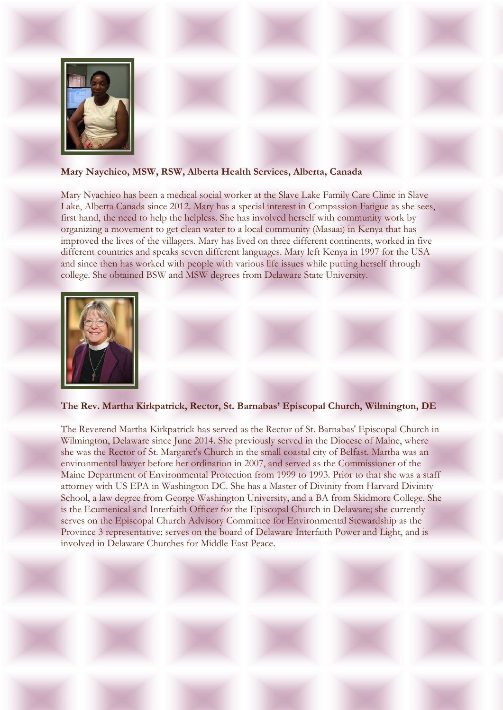

#### **Mary Naychieo, MSW, RSW, Alberta Health Services, Alberta, Canada**

Mary Nyachieo has been a medical social worker at the Slave Lake Family Care Clinic in Slave Lake, Alberta Canada since 2012. Mary has a special interest in Compassion Fatigue as she sees, first hand, the need to help the helpless. She has involved herself with community work by organizing a movement to get clean water to a local community (Masaai) in Kenya that has improved the lives of the villagers. Mary has lived on three different continents, worked in five different countries and speaks seven different languages. Mary left Kenya in 1997 for the USA and since then has worked with people with various life issues while putting herself through college. She obtained BSW and MSW degrees from Delaware State University.



#### **The Rev. Martha Kirkpatrick, Rector, St. Barnabas' Episcopal Church, Wilmington, DE**

The Reverend Martha Kirkpatrick has served as the Rector of St. Barnabas' Episcopal Church in Wilmington, Delaware since June 2014. She previously served in the Diocese of Maine, where she was the Rector of St. Margaret's Church in the small coastal city of Belfast. Martha was an environmental lawyer before her ordination in 2007, and served as the Commissioner of the Maine Department of Environmental Protection from 1999 to 1993. Prior to that she was a staff attorney with US EPA in Washington DC. She has a Master of Divinity from Harvard Divinity School, a law degree from George Washington University, and a BA from Skidmore College. She is the Ecumenical and Interfaith Officer for the Episcopal Church in Delaware; she currently serves on the Episcopal Church Advisory Committee for Environmental Stewardship as the Province 3 representative; serves on the board of Delaware Interfaith Power and Light, and is involved in Delaware Churches for Middle East Peace.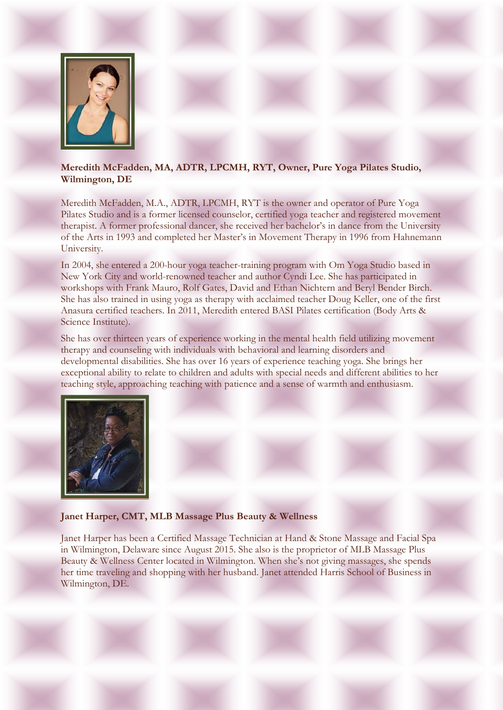

## **Meredith McFadden, MA, ADTR, LPCMH, RYT, Owner, Pure Yoga Pilates Studio, Wilmington, DE**

Meredith McFadden, M.A., ADTR, LPCMH, RYT is the owner and operator of Pure Yoga Pilates Studio and is a former licensed counselor, certified yoga teacher and registered movement therapist. A former professional dancer, she received her bachelor's in dance from the University of the Arts in 1993 and completed her Master's in Movement Therapy in 1996 from Hahnemann University.

In 2004, she entered a 200-hour yoga teacher-training program with Om Yoga Studio based in New York City and world-renowned teacher and author Cyndi Lee. She has participated in workshops with Frank Mauro, Rolf Gates, David and Ethan Nichtern and Beryl Bender Birch. She has also trained in using yoga as therapy with acclaimed teacher Doug Keller, one of the first Anasura certified teachers. In 2011, Meredith entered BASI Pilates certification (Body Arts & Science Institute).

She has over thirteen years of experience working in the mental health field utilizing movement therapy and counseling with individuals with behavioral and learning disorders and developmental disabilities. She has over 16 years of experience teaching yoga. She brings her exceptional ability to relate to children and adults with special needs and different abilities to her teaching style, approaching teaching with patience and a sense of warmth and enthusiasm.



#### **Janet Harper, CMT, MLB Massage Plus Beauty & Wellness**

Janet Harper has been a Certified Massage Technician at Hand & Stone Massage and Facial Spa in Wilmington, Delaware since August 2015. She also is the proprietor of MLB Massage Plus Beauty & Wellness Center located in Wilmington. When she's not giving massages, she spends her time traveling and shopping with her husband. Janet attended Harris School of Business in Wilmington, DE.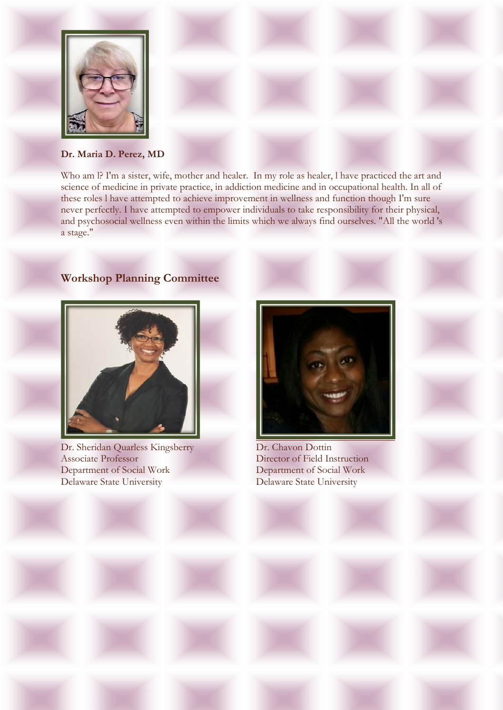

**Dr. Maria D. Perez, MD**

Who am l? I'm a sister, wife, mother and healer. In my role as healer, l have practiced the art and science of medicine in private practice, in addiction medicine and in occupational health. In all of these roles l have attempted to achieve improvement in wellness and function though I'm sure never perfectly. I have attempted to empower individuals to take responsibility for their physical, and psychosocial wellness even within the limits which we always find ourselves. "All the world 's a stage."

## **Workshop Planning Committee**



Dr. Sheridan Quarless Kingsberry Associate Professor Department of Social Work Delaware State University



Dr. Chavon Dottin Director of Field Instruction Department of Social Work Delaware State University